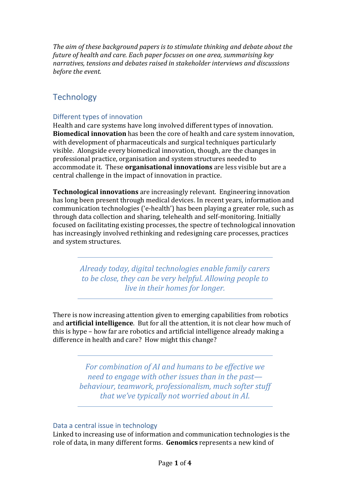*The aim of these background papers is to stimulate thinking and debate about the future of health and care. Each paper focuses on one area, summarising key narratives, tensions and debates raised in stakeholder interviews and discussions before the event.*

# **Technology**

### Different types of innovation

Health and care systems have long involved different types of innovation. **Biomedical innovation** has been the core of health and care system innovation, with development of pharmaceuticals and surgical techniques particularly visible. Alongside every biomedical innovation, though, are the changes in professional practice, organisation and system structures needed to accommodate it. These **organisational innovations** are less visible but are a central challenge in the impact of innovation in practice.

**Technological innovations** are increasingly relevant. Engineering innovation has long been present through medical devices. In recent years, information and communication technologies ('e-health') has been playing a greater role, such as through data collection and sharing, telehealth and self-monitoring. Initially focused on facilitating existing processes, the spectre of technological innovation has increasingly involved rethinking and redesigning care processes, practices and system structures.

> *Already today, digital technologies enable family carers to be close, they can be very helpful. Allowing people to live in their homes for longer.*

There is now increasing attention given to emerging capabilities from robotics and **artificial intelligence**. But for all the attention, it is not clear how much of this is hype – how far are robotics and artificial intelligence already making a difference in health and care? How might this change?

> *For combination of AI and humans to be effective we need to engage with other issues than in the past behaviour, teamwork, professionalism, much softer stuff that we've typically not worried about in AI.*

#### Data a central issue in technology

Linked to increasing use of information and communication technologies is the role of data, in many different forms. **Genomics** represents a new kind of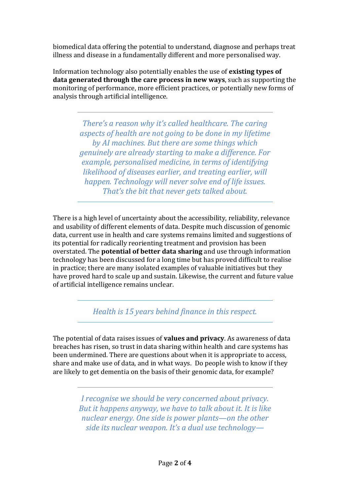biomedical data offering the potential to understand, diagnose and perhaps treat illness and disease in a fundamentally different and more personalised way.

Information technology also potentially enables the use of **existing types of data generated through the care process in new ways**, such as supporting the monitoring of performance, more efficient practices, or potentially new forms of analysis through artificial intelligence.

> *There's a reason why it's called healthcare. The caring aspects of health are not going to be done in my lifetime by AI machines. But there are some things which genuinely are already starting to make a difference. For example, personalised medicine, in terms of identifying likelihood of diseases earlier, and treating earlier, will happen. Technology will never solve end of life issues. That's the bit that never gets talked about.*

There is a high level of uncertainty about the accessibility, reliability, relevance and usability of different elements of data. Despite much discussion of genomic data, current use in health and care systems remains limited and suggestions of its potential for radically reorienting treatment and provision has been overstated. The **potential of better data sharing** and use through information technology has been discussed for a long time but has proved difficult to realise in practice; there are many isolated examples of valuable initiatives but they have proved hard to scale up and sustain. Likewise, the current and future value of artificial intelligence remains unclear.

*Health is 15 years behind finance in this respect.*

The potential of data raises issues of **values and privacy**. As awareness of data breaches has risen, so trust in data sharing within health and care systems has been undermined. There are questions about when it is appropriate to access, share and make use of data, and in what ways. Do people wish to know if they are likely to get dementia on the basis of their genomic data, for example?

> *I recognise we should be very concerned about privacy. But it happens anyway, we have to talk about it. It is like nuclear energy. One side is power plants—on the other side its nuclear weapon. It's a dual use technology—*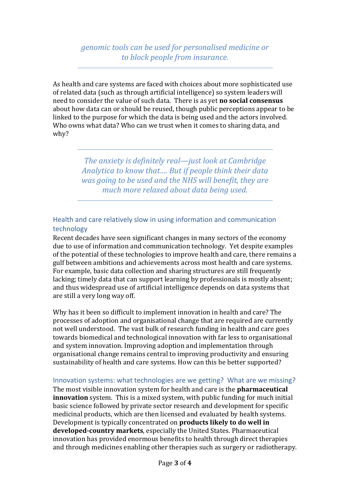*genomic tools can be used for personalised medicine or to block people from insurance.*

As health and care systems are faced with choices about more sophisticated use of related data (such as through artificial intelligence) so system leaders will need to consider the value of such data. There is as yet **no social consensus** about how data can or should be reused, though public perceptions appear to be linked to the purpose for which the data is being used and the actors involved. Who owns what data? Who can we trust when it comes to sharing data, and why?

> *The anxiety is definitely real—just look at Cambridge Analytica to know that…. But if people think their data was going to be used and the NHS will benefit, they are much more relaxed about data being used.*

## Health and care relatively slow in using information and communication technology

Recent decades have seen significant changes in many sectors of the economy due to use of information and communication technology. Yet despite examples of the potential of these technologies to improve health and care, there remains a gulf between ambitions and achievements across most health and care systems. For example, basic data collection and sharing structures are still frequently lacking; timely data that can support learning by professionals is mostly absent; and thus widespread use of artificial intelligence depends on data systems that are still a very long way off.

Why has it been so difficult to implement innovation in health and care? The processes of adoption and organisational change that are required are currently not well understood. The vast bulk of research funding in health and care goes towards biomedical and technological innovation with far less to organisational and system innovation. Improving adoption and implementation through organisational change remains central to improving productivity and ensuring sustainability of health and care systems. How can this be better supported?

#### Innovation systems: what technologies are we getting? What are we missing?

The most visible innovation system for health and care is the **pharmaceutical innovation** system. This is a mixed system, with public funding for much initial basic science followed by private sector research and development for specific medicinal products, which are then licensed and evaluated by health systems. Development is typically concentrated on **products likely to do well in developed-country markets**, especially the United States. Pharmaceutical innovation has provided enormous benefits to health through direct therapies and through medicines enabling other therapies such as surgery or radiotherapy.